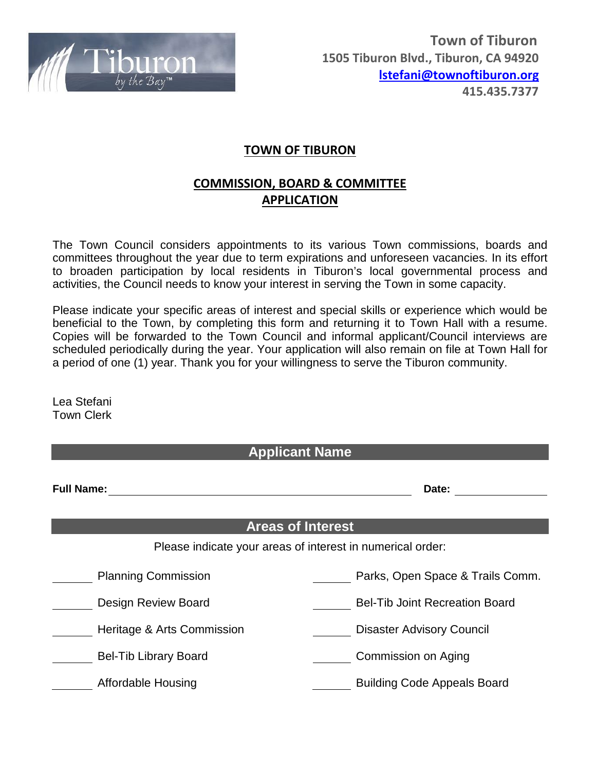

## **TOWN OF TIBURON**

## **COMMISSION, BOARD & COMMITTEE APPLICATION**

The Town Council considers appointments to its various Town commissions, boards and committees throughout the year due to term expirations and unforeseen vacancies. In its effort to broaden participation by local residents in Tiburon's local governmental process and activities, the Council needs to know your interest in serving the Town in some capacity.

Please indicate your specific areas of interest and special skills or experience which would be beneficial to the Town, by completing this form and returning it to Town Hall with a resume. Copies will be forwarded to the Town Council and informal applicant/Council interviews are scheduled periodically during the year. Your application will also remain on file at Town Hall for a period of one (1) year. Thank you for your willingness to serve the Tiburon community.

Lea Stefani Town Clerk

| <b>Applicant Name</b>                                      |                                       |  |  |  |  |
|------------------------------------------------------------|---------------------------------------|--|--|--|--|
| <b>Full Name:</b>                                          | Date:                                 |  |  |  |  |
| <b>Areas of Interest</b>                                   |                                       |  |  |  |  |
| Please indicate your areas of interest in numerical order: |                                       |  |  |  |  |
| <b>Planning Commission</b>                                 | Parks, Open Space & Trails Comm.      |  |  |  |  |
| <b>Design Review Board</b>                                 | <b>Bel-Tib Joint Recreation Board</b> |  |  |  |  |
| Heritage & Arts Commission                                 | <b>Disaster Advisory Council</b>      |  |  |  |  |
| <b>Bel-Tib Library Board</b>                               | Commission on Aging                   |  |  |  |  |
| Affordable Housing                                         | <b>Building Code Appeals Board</b>    |  |  |  |  |